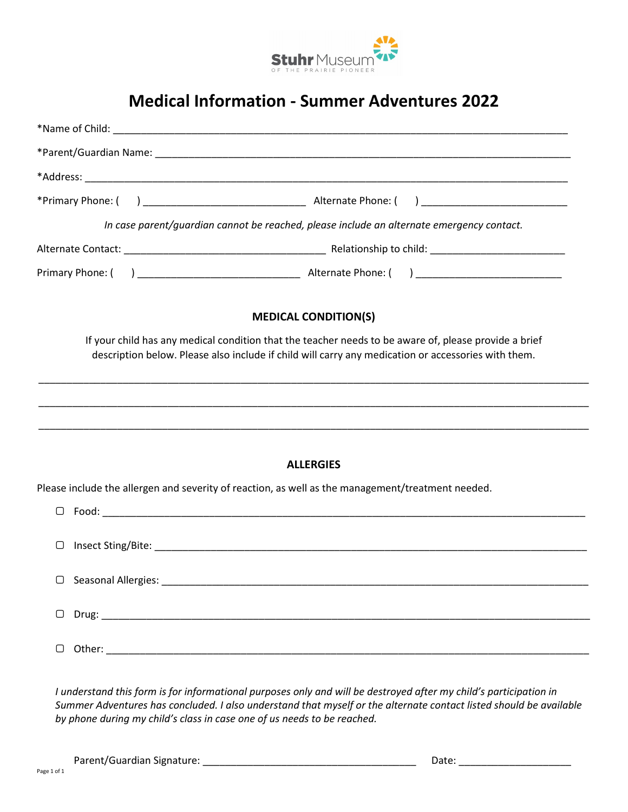

## **Medical Information - Summer Adventures 2022**

| In case parent/guardian cannot be reached, please include an alternate emergency contact.                                                                                                                    |                            |                             |  |
|--------------------------------------------------------------------------------------------------------------------------------------------------------------------------------------------------------------|----------------------------|-----------------------------|--|
|                                                                                                                                                                                                              |                            |                             |  |
|                                                                                                                                                                                                              |                            |                             |  |
|                                                                                                                                                                                                              |                            | <b>MEDICAL CONDITION(S)</b> |  |
| If your child has any medical condition that the teacher needs to be aware of, please provide a brief<br>description below. Please also include if child will carry any medication or accessories with them. |                            |                             |  |
|                                                                                                                                                                                                              |                            |                             |  |
|                                                                                                                                                                                                              |                            | <b>ALLERGIES</b>            |  |
| Please include the allergen and severity of reaction, as well as the management/treatment needed.                                                                                                            |                            |                             |  |
|                                                                                                                                                                                                              |                            |                             |  |
| $\Box$                                                                                                                                                                                                       |                            |                             |  |
|                                                                                                                                                                                                              | $\Box$ Seasonal Allergies: |                             |  |
|                                                                                                                                                                                                              |                            |                             |  |
|                                                                                                                                                                                                              |                            |                             |  |

*I understand this form is for informational purposes only and will be destroyed after my child's participation in Summer Adventures has concluded. I also understand that myself or the alternate contact listed should be available by phone during my child's class in case one of us needs to be reached.* 

Parent/Guardian Signature: \_\_\_\_\_\_\_\_\_\_\_\_\_\_\_\_\_\_\_\_\_\_\_\_\_\_\_\_\_\_\_\_\_\_\_\_\_\_ Date: \_\_\_\_\_\_\_\_\_\_\_\_\_\_\_\_\_\_\_\_